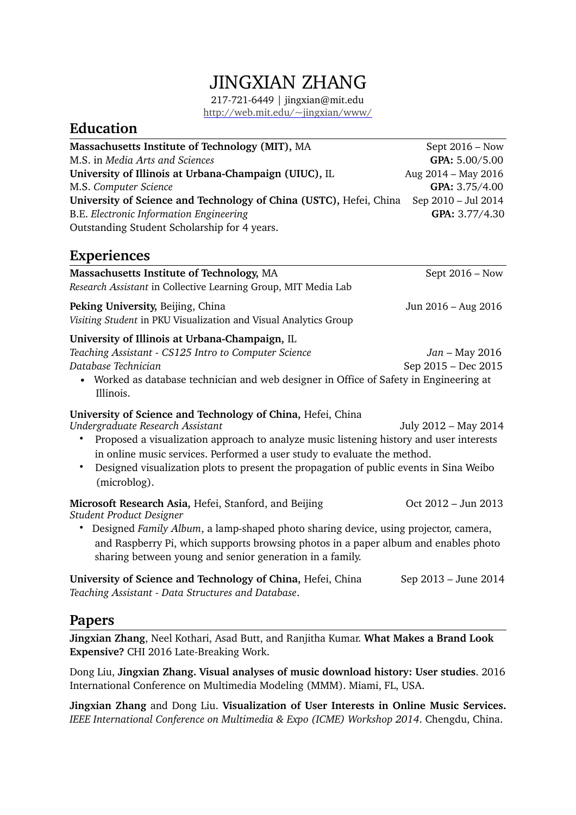# JINGXIAN ZHANG

217-721-6449 | [jingxian@mit.edu](mailto:jingxian@mit.edu?subject=) <http://web.mit.edu/~jingxian/www/>

## **Education**

| Massachusetts Institute of Technology (MIT), MA                    | Sept $2016 - Now$   |
|--------------------------------------------------------------------|---------------------|
| M.S. in Media Arts and Sciences                                    | GPA: 5.00/5.00      |
| University of Illinois at Urbana-Champaign (UIUC), IL              | Aug 2014 - May 2016 |
| M.S. Computer Science                                              | GPA: 3.75/4.00      |
| University of Science and Technology of China (USTC), Hefei, China | Sep 2010 - Jul 2014 |
| B.E. Electronic Information Engineering                            | GPA: 3.77/4.30      |
| Outstanding Student Scholarship for 4 years.                       |                     |

### **Experiences**

| Massachusetts Institute of Technology, MA<br>Research Assistant in Collective Learning Group, MIT Media Lab                                                                                                                                                                                                                                                                      | Sept $2016 - Now$                       |
|----------------------------------------------------------------------------------------------------------------------------------------------------------------------------------------------------------------------------------------------------------------------------------------------------------------------------------------------------------------------------------|-----------------------------------------|
| Peking University, Beijing, China<br>Visiting Student in PKU Visualization and Visual Analytics Group                                                                                                                                                                                                                                                                            | Jun 2016 – Aug 2016                     |
| University of Illinois at Urbana-Champaign, IL<br>Teaching Assistant - CS125 Intro to Computer Science<br>Database Technician<br>Worked as database technician and web designer in Office of Safety in Engineering at<br>Illinois.                                                                                                                                               | $Jan - May 2016$<br>Sep 2015 - Dec 2015 |
| University of Science and Technology of China, Hefei, China<br>Undergraduate Research Assistant<br>Proposed a visualization approach to analyze music listening history and user interests<br>in online music services. Performed a user study to evaluate the method.<br>Designed visualization plots to present the propagation of public events in Sina Weibo<br>(microblog). | July 2012 - May 2014                    |
| Microsoft Research Asia, Hefei, Stanford, and Beijing<br>Student Product Designer<br>Designed Family Album, a lamp-shaped photo sharing device, using projector, camera,<br>and Raspberry Pi, which supports browsing photos in a paper album and enables photo<br>sharing between young and senior generation in a family.                                                      | Oct 2012 – Jun 2013                     |
| University of Science and Technology of China, Hefei, China                                                                                                                                                                                                                                                                                                                      | Sep 2013 – June 2014                    |

*Teaching Assistant - Data Structures and Database*.

#### **Papers**

**Jingxian Zhang**, Neel Kothari, Asad Butt, and Ranjitha Kumar. **What Makes a Brand Look Expensive?** CHI 2016 Late-Breaking Work.

Dong Liu, **Jingxian Zhang. Visual analyses of music download history: User studies**. 2016 International Conference on Multimedia Modeling (MMM). Miami, FL, USA.

**Jingxian Zhang** and Dong Liu. **Visualization of User Interests in Online Music Services.**  *IEEE International Conference on Multimedia & Expo (ICME) Workshop 2014*. Chengdu, China.